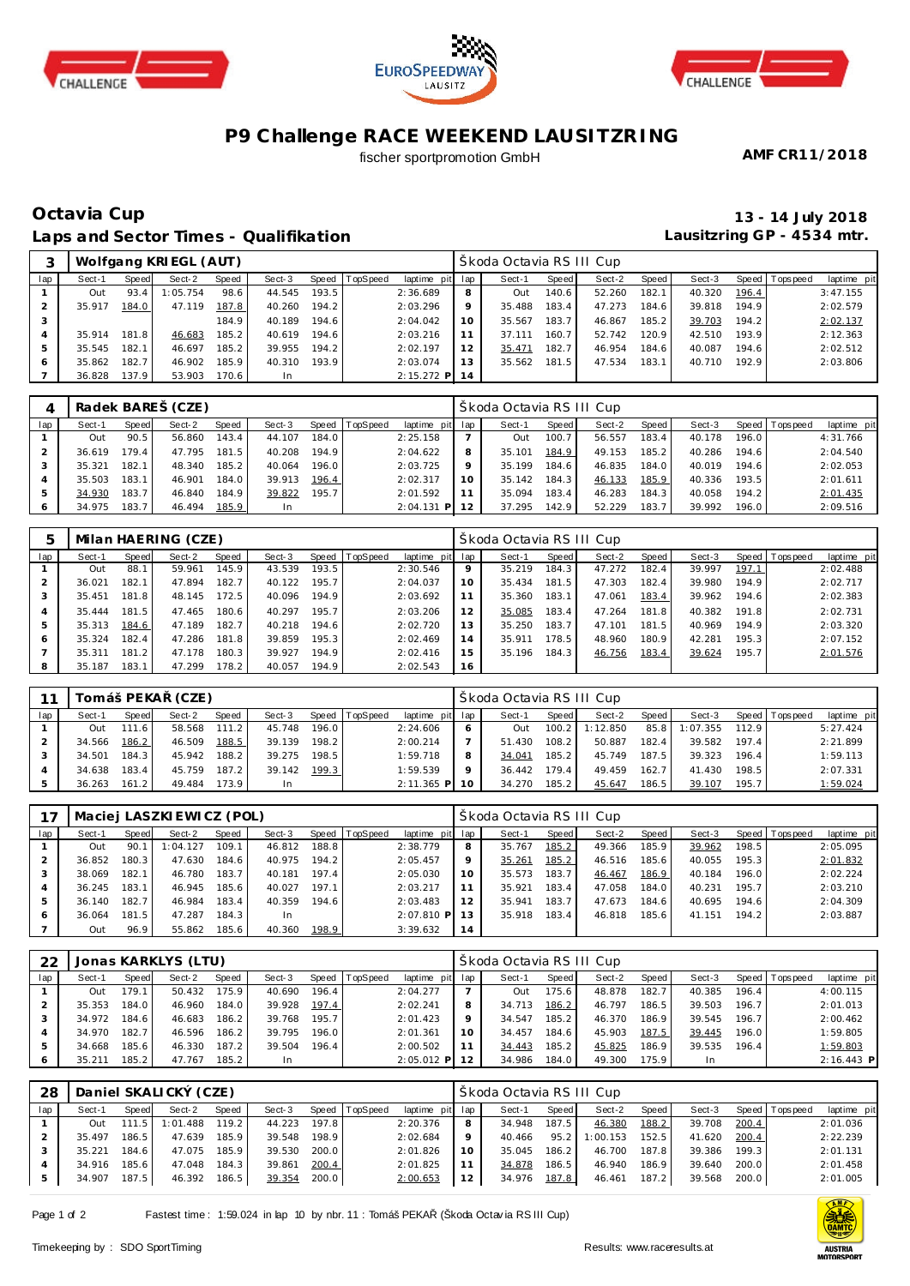





# **P9 Challenge RACE WEEKEND LAUSITZRING**

fischer sportpromotion GmbH

**AMF CR11/2018**

### **Octavia Cup 13 - 14 July 2018 Laps and Sector Times - Qualifikation**

**Lausitzring GP - 4534 mtr.**

|     |        |       | Wolfgang KRI EGL (AUT) |       |        |       |                |                 |    | Škoda Octavia RS III Cup |         |        |       |        |                    |                |             |
|-----|--------|-------|------------------------|-------|--------|-------|----------------|-----------------|----|--------------------------|---------|--------|-------|--------|--------------------|----------------|-------------|
| lap | Sect-1 | Speed | Sect-2                 | Speed | Sect-3 |       | Speed TopSpeed | laptime pit lap |    | Sect-1                   | Speed I | Sect-2 | Speed | Sect-3 |                    | Speed Topspeed | laptime pit |
|     | Out    | 93.4  | 1:05.754               | 98.6  | 44.545 | 193.5 |                | 2:36.689        | 8  | Out                      | 140.6   | 52.260 | 182.1 | 40.320 | 196.4              |                | 3:47.155    |
|     | 35.917 | 184.0 | 47.119                 | 187.8 | 40.260 | 194.2 |                | 2:03.296        | 9  | 35.488                   | 183.4   | 47.273 | 184.6 | 39.818 | 194.9              |                | 2:02.579    |
|     |        |       |                        | 184.9 | 40.189 | 194.6 |                | 2:04.042        | 10 | 35.567                   | 183.7   | 46.867 | 185.2 | 39.703 | 194.2              |                | 2:02.137    |
|     | 35.914 | 181.8 | 46.683                 | 185.2 | 40.619 | 194.6 |                | 2:03.216        |    | 37.111                   | 160.7   | 52.742 | 120.9 | 42.510 | 193.9              |                | 2:12.363    |
|     | 35.545 | 182.1 | 46.697                 | 185.2 | 39.955 | 194.2 |                | 2:02.197        | 12 | 35.471                   | 182.7   | 46.954 | 184.6 | 40.087 | 194.6 <sub>1</sub> |                | 2:02.512    |
| 6   | 35.862 | 182.7 | 46.902                 | 185.9 | 40.310 | 193.9 |                | 2:03.074        | 13 | 35.562                   | 181.5   | 47.534 | 183.1 | 40.710 | 192.9              |                | 2:03.806    |
|     | 36.828 | 137.9 | 53.903                 | 170.6 | In     |       |                | $2:15.272$ P    | 14 |                          |         |        |       |        |                    |                |             |

|     |        |       | Radek BAREŠ (CZE) |       |        |       |                |                 |    | Škoda Octavia RSIII Cup |       |        |       |        |        |                 |             |
|-----|--------|-------|-------------------|-------|--------|-------|----------------|-----------------|----|-------------------------|-------|--------|-------|--------|--------|-----------------|-------------|
| lap | Sect-1 | Speed | Sect-2            | Speed | Sect-3 |       | Speed TopSpeed | laptime pit lap |    | Sect-1                  | Speed | Sect-2 | Speed | Sect-3 |        | Speed Tops peed | laptime pit |
|     | Out    | 90.5  | 56.860            | 143.4 | 44.107 | 184.0 |                | 2:25.158        |    | Out                     | 100.7 | 56.557 | 183.4 | 40.178 | 196.01 |                 | 4:31.766    |
|     | 36.619 | 79.4  | 47.795            | 181.5 | 40.208 | 194.9 |                | 2:04.622        | 8  | 35.101                  | 184.9 | 49.153 | 185.2 | 40.286 | 194.6  |                 | 2:04.540    |
|     | 35.321 | 182.1 | 48.340            | 185.2 | 40.064 | 196.0 |                | 2:03.725        | Q  | 35.199                  | 184.6 | 46.835 | 184.0 | 40.019 | 194.6  |                 | 2:02.053    |
|     | 35.503 | 183.1 | 46.901            | 184.0 | 39.913 | 196.4 |                | 2:02.317        | 10 | 35.142                  | 184.3 | 46.133 | 185.9 | 40.336 | 193.5  |                 | 2:01.611    |
| 5   | 34.930 | 183.7 | 46.840            | 184.9 | 39.822 | 195.7 |                | 2:01.592        | 11 | 35.094                  | 183.4 | 46.283 | 184.3 | 40.058 | 194.2  |                 | 2:01.435    |
| 6   | 34.975 | 183.7 | 46.494            | 185.9 | In     |       |                | 2:04.131<br>PI  | 12 | 37.295                  | 142.9 | 52.229 | 183.7 | 39.992 | 196.0  |                 | 2:09.516    |

| 5   |        |       | Milan HAERING (CZE) |       |        |       |                |                 |    | Škoda Octavia RS III Cup |       |        |       |        |       |                   |             |
|-----|--------|-------|---------------------|-------|--------|-------|----------------|-----------------|----|--------------------------|-------|--------|-------|--------|-------|-------------------|-------------|
| lap | Sect-1 | Speed | Sect-2              | Speed | Sect-3 |       | Speed TopSpeed | laptime pit lap |    | Sect-1                   | Speed | Sect-2 | Speed | Sect-3 |       | Speed   Tops peed | laptime pit |
|     | Out    | 88.1  | 59.961              | 145.9 | 43.539 | 193.5 |                | 2:30.546        | 9  | 35.219                   | 184.3 | 47.272 | 182.4 | 39.997 | 197.1 |                   | 2:02.488    |
|     | 36.021 | 182.1 | 47.894              | 182.7 | 40.122 | 195.7 |                | 2:04.037        | 10 | 35.434                   | 181.5 | 47.303 | 182.4 | 39.980 | 194.9 |                   | 2:02.717    |
| 3   | 35.451 | 181.8 | 48.145              | 172.5 | 40.096 | 194.9 |                | 2:03.692        | 11 | 35.360                   | 183.1 | 47.061 | 183.4 | 39.962 | 194.6 |                   | 2:02.383    |
|     | 35.444 | 181.5 | 47.465              | 180.6 | 40.297 | 195.7 |                | 2:03.206        | 12 | 35.085                   | 183.4 | 47.264 | 181.8 | 40.382 | 191.8 |                   | 2:02.731    |
|     | 35.313 | 184.6 | 47.189              | 182.7 | 40.218 | 194.6 |                | 2:02.720        | 13 | 35.250                   | 183.7 | 47.101 | 181.5 | 40.969 | 194.9 |                   | 2:03.320    |
| 6   | 35.324 | 182.4 | 47.286              | 181.8 | 39.859 | 195.3 |                | 2:02.469        | 14 | 35.911                   | 178.5 | 48.960 | 180.9 | 42.281 | 195.3 |                   | 2:07.152    |
|     | 35.311 | 181.2 | 47.178              | 180.3 | 39.927 | 194.9 |                | 2:02.416        | 15 | 35.196                   | 184.3 | 46.756 | 183.4 | 39.624 | 195.7 |                   | 2:01.576    |
| 8   | 35.187 | 183.1 | 47.299              | 178.2 | 40.057 | 194.9 |                | 2:02.543        | 16 |                          |       |        |       |        |       |                   |             |

|     |        | Tomáš PEKA | (CZE)  |       |        |       |                |                 |         | Škoda Octavia RS III Cup |       |          |         |          |       |                 |             |
|-----|--------|------------|--------|-------|--------|-------|----------------|-----------------|---------|--------------------------|-------|----------|---------|----------|-------|-----------------|-------------|
| lap | Sect-1 | Speed      | Sect-2 | Speed | Sect-3 |       | Speed TopSpeed | laptime pit lap |         | Sect-1                   | Speed | Sect-2   | Speed I | Sect-3   |       | Speed Tops peed | laptime pit |
|     | Out    | 111.6      | 58.568 | 111.2 | 45.748 | 196.0 |                | 2:24.606        | O       | Out                      | 100.2 | 1:12.850 | 85.8    | 1:07.355 | 112.9 |                 | 5:27.424    |
|     | 34.566 | 186.2      | 46.509 | 188.5 | 39.139 | 198.2 |                | 2:00.214        |         | 51.430                   | 108.2 | 50.887   | 182.4   | 39.582   | 197.4 |                 | 2:21.899    |
|     | 34.501 | 184.3      | 45.942 | 188.2 | 39.275 | 198.5 |                | 1:59.718        | 8       | 34.041                   | 185.2 | 45.749   | 187.5   | 39.323   | 196.4 |                 | 1:59.113    |
|     | 34.638 | 183.4      | 45.759 | 187.2 | 39.142 | 199.3 |                | 1:59.539        | $\circ$ | 36.442                   | 179.4 | 49.459   | 162.7   | 41.430   | 198.5 |                 | 2:07.331    |
|     | 36.263 | 161.2      | 49.484 | 173.9 | In     |       |                | $2:11.365$ P    | 10      | 34.270                   | 185.2 | 45.647   | 186.5   | 39.107   | 195.7 |                 | 1:59.024    |

|     |        |       | Maciej LASZKI EWICZ (POL) |       |        |         |          |                 |    | Škoda Octavia RS III Cup |         |        |       |        |       |                  |             |
|-----|--------|-------|---------------------------|-------|--------|---------|----------|-----------------|----|--------------------------|---------|--------|-------|--------|-------|------------------|-------------|
| lap | Sect-1 | Speed | Sect-2                    | Speed | Sect-3 | Speed I | TopSpeed | laptime pit lap |    | Sect-1                   | Speed I | Sect-2 | Speed | Sect-3 |       | Speed   Topspeed | laptime pit |
|     | Out    | 90.   | 1:04.127                  | 109.1 | 46.812 | 188.8   |          | 2:38.779        | 8  | 35.767                   | 185.2   | 49.366 | 185.9 | 39.962 | 198.5 |                  | 2:05.095    |
|     | 36.852 | 180.3 | 47.630                    | 184.6 | 40.975 | 194.2   |          | 2:05.457        | 9  | 35.261                   | 185.2   | 46.516 | 185.6 | 40.055 | 195.3 |                  | 2:01.832    |
|     | 38.069 | 182.1 | 46.780                    | 183.7 | 40.181 | 197.4   |          | 2:05.030        |    | 35.573                   | 183.7   | 46.467 | 186.9 | 40.184 | 196.0 |                  | 2:02.224    |
|     | 36.245 | 183.1 | 46.945                    | 185.6 | 40.027 | 197.1   |          | 2:03.217        |    | 35.921                   | 183.4   | 47.058 | 184.0 | 40.231 | 195.7 |                  | 2:03.210    |
|     | 36.140 | 182.7 | 46.984                    | 183.4 | 40.359 | 194.6   |          | 2:03.483        | 12 | 35.941                   | 183.7   | 47.673 | 184.6 | 40.695 | 194.6 |                  | 2:04.309    |
| 6   | 36.064 | 181.5 | 47.287                    | 184.3 | -In    |         |          | $2:07.810$ P    |    | 35.918                   | 183.4   | 46.818 | 185.6 | 41.151 | 194.2 |                  | 2:03.887    |
|     | Out    | 96.9  | 55.862                    | 185.6 | 40.360 | 198.9   |          | 3:39.632        | 14 |                          |         |        |       |        |       |                  |             |

| 22  |        |       | Jonas KARKLYS (LTU) |       |        |       |                 |                 |         | Škoda Octavia RS III Cup |       |        |       |        |         |            |              |
|-----|--------|-------|---------------------|-------|--------|-------|-----------------|-----------------|---------|--------------------------|-------|--------|-------|--------|---------|------------|--------------|
| lap | Sect-1 | Speed | Sect-2              | Speed | Sect-3 | Speed | <b>TopSpeed</b> | laptime pit lap |         | Sect-1                   | Speed | Sect-2 | Speed | Sect-3 | Speed T | Tops pee d | laptime pit  |
|     | Out    | 179.  | 50.432              | 175.9 | 40.690 | 196.4 |                 | 2:04.277        |         | Out                      | 175.6 | 48.878 | 182.7 | 40.385 | 196.4   |            | 4:00.115     |
|     | 35.353 | 184.0 | 46.960              | 184.0 | 39.928 | 197.4 |                 | 2:02.241        | 8       | 34.713                   | 186.2 | 46.797 | 186.5 | 39.503 | 196.7   |            | 2:01.013     |
|     | 34.972 | 184.6 | 46.683              | 186.2 | 39.768 | 195.7 |                 | 2:01.423        | $\circ$ | 34.547                   | 185.2 | 46.370 | 186.9 | 39.545 | 196.7   |            | 2:00.462     |
|     | 34.970 | 182.7 | 46.596              | 186.2 | 39.795 | 196.0 |                 | 2:01.361        |         | 34.457                   | 184.6 | 45.903 | 187.5 | 39.445 | 196.0   |            | 1:59.805     |
|     | 34.668 | 185.6 | 46.330              | 187.2 | 39.504 | 196.4 |                 | 2:00.502        |         | 34.443                   | 185.2 | 45.825 | 186.9 | 39.535 | 196.4   |            | 1:59.803     |
|     | 35.211 | 185.2 | 47.767              | 185.2 | In     |       |                 | $2:05.012$ P    |         | 34.986                   | 184.0 | 49.300 | 175.9 | In     |         |            | $2:16.443$ P |

| 28  |        |       | Daniel SKALICKÝ (CZE) |        |        |       |                |                 |         | Škoda Octavia RS III Cup |       |          |       |        |       |                |             |
|-----|--------|-------|-----------------------|--------|--------|-------|----------------|-----------------|---------|--------------------------|-------|----------|-------|--------|-------|----------------|-------------|
| lap | Sect-1 | Speed | Sect-2                | Speed  | Sect-3 |       | Speed TopSpeed | laptime pit lap |         | Sect-1                   | Speed | Sect-2   | Speed | Sect-3 |       | Speed Topspeed | laptime pit |
|     | Out    |       | 111.5 1:01.488        | 119.2  | 44.223 | 197.8 |                | 2:20.376        | 8       | 34.948                   | 187.5 | 46.380   | 188.2 | 39.708 | 200.4 |                | 2:01.036    |
|     | 35.497 | 186.5 | 47.639                | 185.91 | 39.548 | 198.9 |                | 2:02.684        | $\circ$ | 40.466                   | 95.2  | 1:00.153 | 152.5 | 41.620 | 200.4 |                | 2:22.239    |
|     | 35.221 | 184.6 | 47.075                | 185.9  | 39.530 | 200.0 |                | 2:01.826        | 10      | 35.045                   | 186.2 | 46.700   | 187.8 | 39.386 | 199.3 |                | 2:01.131    |
|     | 34.916 | 185.6 | 47.048                | 184.3  | 39.861 | 200.4 |                | 2:01.825        |         | 34.878                   | 186.5 | 46.940   | 186.9 | 39.640 | 200.0 |                | 2:01.458    |
|     | 34.907 | 187.5 | 46.392                | 186.5  | 39.354 | 200.0 |                | 2:00.653        | 12      | 34.976 187.8             |       | 46.461   | 187.2 | 39.568 | 200.0 |                | 2:01.005    |

Page 1 of 2 Fastest time : 1:59.024 in lap 10 by nbr. 11 : Tomáš PEKA (Škoda Octavia RS III Cup)